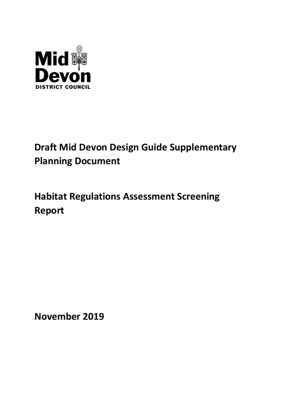

# Draft Mid Devon Design Guide Supplementary Planning Document

# Habitat Regulations Assessment Screening Report

November 2019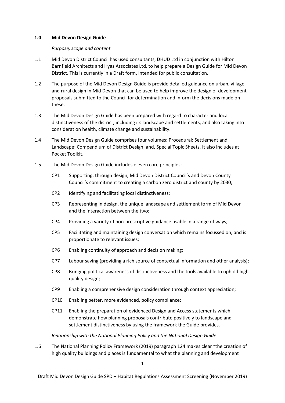### 1.0 Mid Devon Design Guide

#### Purpose, scope and content

- 1.1 Mid Devon District Council has used consultants, DHUD Ltd in conjunction with Hilton Barnfield Architects and Hyas Associates Ltd, to help prepare a Design Guide for Mid Devon District. This is currently in a Draft form, intended for public consultation.
- 1.2 The purpose of the Mid Devon Design Guide is provide detailed guidance on urban, village and rural design in Mid Devon that can be used to help improve the design of development proposals submitted to the Council for determination and inform the decisions made on these.
- 1.3 The Mid Devon Design Guide has been prepared with regard to character and local distinctiveness of the district, including its landscape and settlements, and also taking into consideration health, climate change and sustainability.
- 1.4 The Mid Devon Design Guide comprises four volumes: Procedural; Settlement and Landscape; Compendium of District Design; and, Special Topic Sheets. It also includes at Pocket Toolkit.
- 1.5 The Mid Devon Design Guide includes eleven core principles:
	- CP1 Supporting, through design, Mid Devon District Council's and Devon County Council's commitment to creating a carbon zero district and county by 2030;
	- CP2 Identifying and facilitating local distinctiveness;
	- CP3 Representing in design, the unique landscape and settlement form of Mid Devon and the interaction between the two;
	- CP4 Providing a variety of non-prescriptive guidance usable in a range of ways;
	- CP5 Facilitating and maintaining design conversation which remains focussed on, and is proportionate to relevant issues;
	- CP6 Enabling continuity of approach and decision making;
	- CP7 Labour saving (providing a rich source of contextual information and other analysis);
	- CP8 Bringing political awareness of distinctiveness and the tools available to uphold high quality design;
	- CP9 Enabling a comprehensive design consideration through context appreciation;
	- CP10 Enabling better, more evidenced, policy compliance;
	- CP11 Enabling the preparation of evidenced Design and Access statements which demonstrate how planning proposals contribute positively to landscape and settlement distinctiveness by using the framework the Guide provides.

#### Relationship with the National Planning Policy and the National Design Guide

1.6 The National Planning Policy Framework (2019) paragraph 124 makes clear "the creation of high quality buildings and places is fundamental to what the planning and development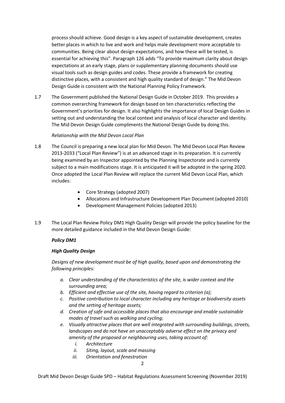process should achieve. Good design is a key aspect of sustainable development, creates better places in which to live and work and helps male development more acceptable to communities. Being clear about design expectations, and how these will be tested, is essential for achieving this". Paragraph 126 adds "To provide maximum clarity about design expectations at an early stage, plans or supplementary planning documents should use visual tools such as design guides and codes. These provide a framework for creating distinctive places, with a consistent and high quality standard of design." The Mid Devon Design Guide is consistent with the National Planning Policy Framework.

1.7 The Government published the National Design Guide in October 2019. This provides a common overarching framework for design based on ten characteristics reflecting the Government's priorities for design. It also highlights the importance of local Design Guides in setting out and understanding the local context and analysis of local character and identity. The Mid Devon Design Guide compliments the National Design Guide by doing this.

# Relationship with the Mid Devon Local Plan

- 1.8 The Council is preparing a new local plan for Mid Devon. The Mid Devon Local Plan Review 2013-2033 ("Local Plan Review") is at an advanced stage in its preparation. It is currently being examined by an Inspector appointed by the Planning Inspectorate and is currently subject to a main modifications stage. It is anticipated it will be adopted in the spring 2020. Once adopted the Local Plan Review will replace the current Mid Devon Local Plan, which includes:
	- Core Strategy (adopted 2007)
	- Allocations and Infrastructure Development Plan Document (adopted 2010)
	- Development Management Policies (adopted 2013)
- 1.9 The Local Plan Review Policy DM1 High Quality Design will provide the policy baseline for the more detailed guidance included in the Mid Devon Design Guide:

# Policy DM1

# High Quality Design

Designs of new development must be of high quality, based upon and demonstrating the following principles:

- a. Clear understanding of the characteristics of the site, is wider context and the surrounding area;
- b. Efficient and effective use of the site, having regard to criterion (a);
- c. Positive contribution to local character including any heritage or biodiversity assets and the setting of heritage assets;
- d. Creation of safe and accessible places that also encourage and enable sustainable modes of travel such as walking and cycling;
- e. Visually attractive places that are well integrated with surrounding buildings, streets, landscapes and do not have an unacceptably adverse effect on the privacy and amenity of the proposed or neighbouring uses, taking account of:
	- i. Architecture
	- ii. Siting, layout, scale and massing
	- iii. Orientation and fenestration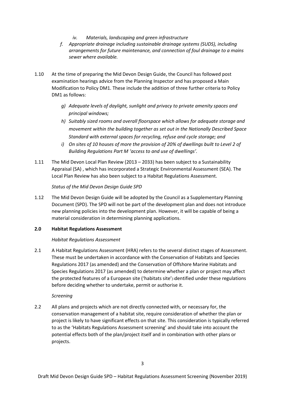- iv. Materials, landscaping and green infrastructure
- f. Appropriate drainage including sustainable drainage systems (SUDS), including arrangements for future maintenance, and connection of foul drainage to a mains sewer where available.
- 1.10 At the time of preparing the Mid Devon Design Guide, the Council has followed post examination hearings advice from the Planning Inspector and has proposed a Main Modification to Policy DM1. These include the addition of three further criteria to Policy DM1 as follows:
	- g) Adequate levels of daylight, sunlight and privacy to private amenity spaces and principal windows;
	- h) Suitably sized rooms and overall floorspace which allows for adequate storage and movement within the building together as set out in the Nationally Described Space Standard with external spaces for recycling, refuse and cycle storage; and
	- i) On sites of 10 houses of more the provision of 20% of dwellings built to Level 2 of Building Regulations Part M 'access to and use of dwellings'.
- 1.11 The Mid Devon Local Plan Review (2013 2033) has been subject to a Sustainability Appraisal (SA) , which has incorporated a Strategic Environmental Assessment (SEA). The Local Plan Review has also been subject to a Habitat Regulations Assessment.

Status of the Mid Devon Design Guide SPD

1.12 The Mid Devon Design Guide will be adopted by the Council as a Supplementary Planning Document (SPD). The SPD will not be part of the development plan and does not introduce new planning policies into the development plan. However, it will be capable of being a material consideration in determining planning applications.

# 2.0 Habitat Regulations Assessment

### Habitat Regulations Assessment

2.1 A Habitat Regulations Assessment (HRA) refers to the several distinct stages of Assessment. These must be undertaken in accordance with the Conservation of Habitats and Species Regulations 2017 (as amended) and the Conservation of Offshore Marine Habitats and Species Regulations 2017 (as amended) to determine whether a plan or project may affect the protected features of a European site ('habitats site') identified under these regulations before deciding whether to undertake, permit or authorise it.

### Screening

2.2 All plans and projects which are not directly connected with, or necessary for, the conservation management of a habitat site, require consideration of whether the plan or project is likely to have significant effects on that site. This consideration is typically referred to as the 'Habitats Regulations Assessment screening' and should take into account the potential effects both of the plan/project itself and in combination with other plans or projects.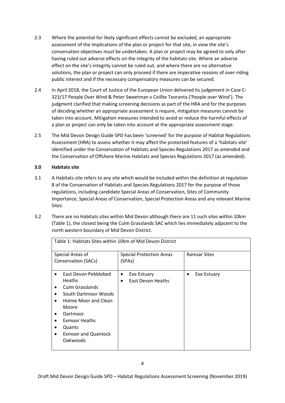- 2.3 Where the potential for likely significant effects cannot be excluded, an appropriate assessment of the implications of the plan or project for that site, in view the site's conservation objectives must be undertaken. A plan or project may be agreed to only after having ruled out adverse effects on the integrity of the habitats site. Where an adverse effect on the site's integrity cannot be ruled out, and where there are no alternative solutions, the plan or project can only proceed if there are imperative reasons of over-riding public interest and if the necessary compensatory measures can be secured.
- 2.4 In April 2018, the Court of Justice of the European Union delivered its judgement in Case C-323/17 People Over Wind & Peter Sweetman v Coillte Teoranta ('People over Wind'). The judgment clarified that making screening decisions as part of the HRA and for the purposes of deciding whether an appropriate assessment is require, mitigation measures cannot be taken into account. Mitigation measures intended to avoid or reduce the harmful effects of a plan or project can only be taken into account at the appropriate assessment stage.
- 2.5 The Mid Devon Design Guide SPD has been 'screened' for the purpose of Habitat Regulations Assessment (HRA) to assess whether it may affect the protected features of a 'habitats site' identified under the Conservation of Habitats and Species Regulations 2017 as amended and the Conservation of Offshore Marine Habitats and Species Regulations 2017 (as amended).

# 3.0 Habitats site

- 3.1 A Habitats site refers to any site which would be included within the definition at regulation 8 of the Conservation of Habitats and Species Regulations 2017 for the purpose of those regulations, including candidate Special Areas of Conservation, Sites of Community Importance, Special Areas of Conservation, Special Protection Areas and any relevant Marine Sites.
- 3.2 There are no Habitats sites within Mid Devon although there are 11 such sites within 10km (Table 1), the closest being the Culm Grasslands SAC which lies immediately adjacent to the north western boundary of Mid Devon District.

| Table 1: Habitats Sites within 10km of Mid Devon District |                                 |                     |
|-----------------------------------------------------------|---------------------------------|---------------------|
| Special Areas of                                          | <b>Special Protection Areas</b> | <b>Ramsar Sites</b> |
| Conservation (SACs)                                       | (SPAs)                          |                     |
| East Devon Pebblebed                                      | Exe Estuary<br>$\bullet$        | Exe Estuary         |
| <b>Heaths</b>                                             | East Devon Heaths<br>$\bullet$  |                     |
| Culm Grasslands                                           |                                 |                     |
| South Dartmoor Woods                                      |                                 |                     |
| Holme Moor and Clean                                      |                                 |                     |
| Moore                                                     |                                 |                     |
| Dartmoor                                                  |                                 |                     |
| <b>Exmoor Heaths</b>                                      |                                 |                     |
| Quants                                                    |                                 |                     |
| <b>Exmoor and Quantock</b>                                |                                 |                     |
| Oakwoods                                                  |                                 |                     |
|                                                           |                                 |                     |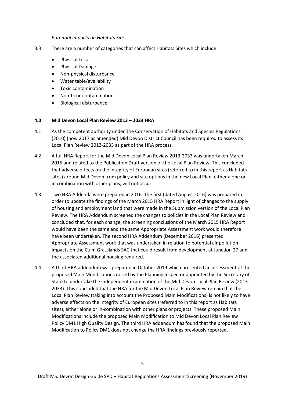#### Potential Impacts on Habitats Site

- 3.3 There are a number of categories that can affect Habitats Sites which include:
	- Physical Loss
	- Physical Damage
	- Non-physical disturbance
	- Water table/availability
	- Toxic contamination
	- Non-toxic contamination
	- Biological disturbance

#### 4.0 Mid Devon Local Plan Review 2013 – 2033 HRA

- 4.1 As the competent authority under The Conservation of Habitats and Species Regulations (2010) (now 2017 as amended) Mid Devon District Council has been required to assess its Local Plan Review 2013-2033 as part of the HRA process.
- 4.2 A full HRA Report for the Mid Devon Local Plan Review 2013-2033 was undertaken March 2015 and related to the Publication Draft version of the Local Plan Review. This concluded that adverse effects on the integrity of European sites (referred to in this report as Habitats sites) around Mid Devon from policy and site options in the new Local Plan, either alone or in combination with other plans, will not occur.
- 4.3 Two HRA Addenda were prepared in 2016. The first (dated August 2016) was prepared in order to update the findings of the March 2015 HRA Report in light of changes to the supply of housing and employment land that were made in the Submission version of the Local Plan Review. The HRA Addendum screened the changes to policies in the Local Plan Review and concluded that, for each change, the screening conclusions of the March 2015 HRA Report would have been the same and the same Appropriate Assessment work would therefore have been undertaken. The second HRA Addendum (December 2016) presented Appropriate Assessment work that was undertaken in relation to potential air pollution impacts on the Culm Grasslands SAC that could result from development at Junction 27 and the associated additional housing required.
- 4.4 A third HRA addendum was prepared in October 2019 which presented an assessment of the proposed Main Modifications raised by the Planning Inspector appointed by the Secretary of State to undertake the independent examination of the Mid Devon Local Plan Review (2013- 2033). This concluded that the HRA for the Mid Devon Local Plan Review remain that the Local Plan Review (taking into account the Proposed Main Modifications) is not likely to have adverse effects on the integrity of European sites (referred to in this report as Habitats sites), either alone or in-combination with other plans or projects. These proposed Main Modifications include the proposed Main Modification to Mid Devon Local Plan Review Policy DM1 High Quality Design. The third HRA addendum has found that the proposed Main Modification to Policy DM1 does not change the HRA findings previously reported.